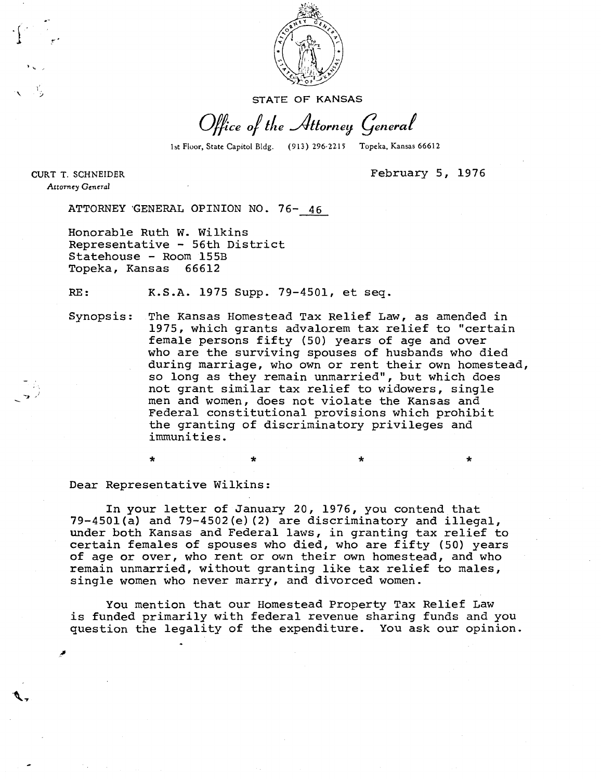

STATE OF KANSAS

Office of the Attorney General

1st Floor, State Capitol Bldg. (913) 296-2215 Topeka, Kansas 66612

\*

CURT T. SCHNEIDER Attorney General

February 5, 1976

4

ATTORNEY GENERAL OPINION NO. 76- 46

Honorable Ruth W. Wilkins Representative - 56th District Statehouse - Room 155B Topeka, Kansas 66612

RE: K.S.A. 1975 Supp. 79-4501, et seq.

Synopsis: The Kansas Homestead Tax Relief Law, as amended in 1975, which grants advalorem tax relief to "certain female persons fifty (50) years of age and over who are the surviving spouses of husbands who died during marriage, who own or rent their own homestead, so long as they remain unmarried", but which does not grant similar tax relief to widowers, single men and women, does not violate the Kansas and Federal constitutional provisions which prohibit the granting of discriminatory privileges and immunities.

Dear Representative Wilkins:

In your letter of January 20, 1976, you contend that 79-4501(a) and 79-4502(e)(2) are discriminatory and illegal, under both Kansas and Federal laws, in granting tax relief to certain females of spouses who died, who are fifty (50) years of age or over, who rent or own their own homestead, and who remain unmarried, without granting like tax relief to males, single women who never marry, and divorced women.

You mention that our Homestead Property Tax Relief Law is funded primarily with federal revenue sharing funds and you question the legality of the expenditure. You ask our opinion.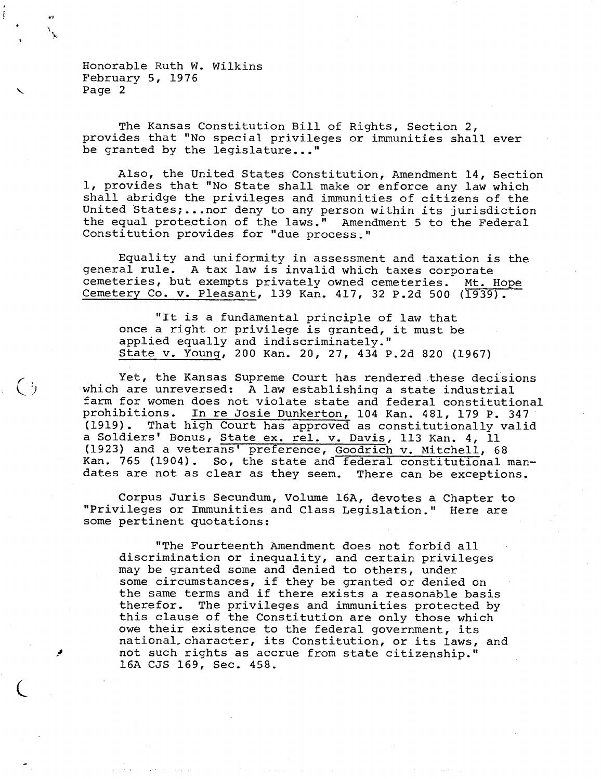$\binom{4}{7}$ 

The Kansas Constitution Bill of Rights, Section 2, provides that "No special privileges or immunities shall ever be granted by the legislature..."

Also, the United States Constitution, Amendment 14, Section 1, provides that "No State shall make or enforce any law which shall abridge the privileges and immunities of citizens of the United States;...nor deny to any person within its jurisdiction the equal protection of the laws." Amendment 5 to the Federal Constitution provides for "due process."

Equality and uniformity in assessment and taxation is the general rule. A tax law is invalid which taxes corporate cemeteries, but exempts privately owned cemeteries. Mt. Hope Cemetery Co. v. Pleasant, 139 Kan. 417, 32 P.2d 500 (1939).

"It is a fundamental principle of law that once a right or privilege is granted, it must be applied equally and indiscriminately." State v. Young, 200 Kan. 20, 27, 434 P.2d 820 (1967)

Yet, the Kansas Supreme Court has rendered these decisions which are unreversed: A law establishing a state industrial farm for women does not violate state and federal constitutional prohibitions. In re Josie Dunkerton, 104 Kan. 481, 179 P. 347 (1919). That high Court has approved as constitutionally valid a Soldiers' Bonus, State ex. rel. v. Davis, 113 Kan. 4, 11 (1923) and a veterans' preference, Goodrich v. Mitchell, 68 Kan. 765 (1904). So, the state and federal constitutional mandates are not as clear as they seem. There can be exceptions.

Corpus Juris Secundum, Volume 16A, devotes a Chapter to "Privileges or Immunities and Class Legislation." Here are some pertinent quotations:

"The Fourteenth Amendment does not forbid all discrimination or inequality, and certain privileges may be granted some and denied to others, under some circumstances, if they be granted or denied on the same terms and if there exists a reasonable basis therefor. The privileges and immunities protected by this clause of the Constitution are only those which owe their existence to the federal government, its national character, its Constitution, or its laws, and not such rights as accrue from state citizenship." 16A CJS 169, Sec. 458.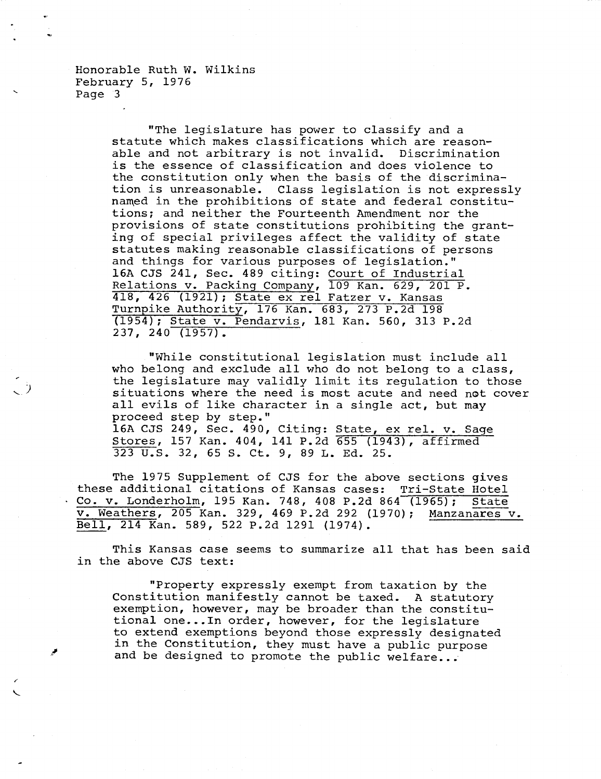> "The legislature has power to classify and a statute which makes classifications which are reasonable and not arbitrary is not invalid. Discrimination is the essence of classification and does violence to the constitution only when the basis of the discrimination is unreasonable. Class legislation is not expressly named in the prohibitions of state and federal constitutions; and neither the Fourteenth Amendment nor the provisions of state constitutions prohibiting the granting of special privileges affect the validity of state statutes making reasonable classifications of persons and things for various purposes of legislation." 16A CJS 241, Sec. 489 citing: Court of Industrial Relations v. Packing Company, 109 Kan. 629, 201 P. 418, 426 (1921); State ex rel Fatzer v. Kansas Turnpike Authority, 176 Kan. 683, 273 P.2d 198 (1954); State v. Pendarvis, 181 Kan. 560, 313 P.2d 237, 240 (1957).

"While constitutional legislation must include all who belong and exclude all who do not belong to a class, the legislature may validly limit its regulation to those situations where the need is most acute and need not cover all evils of like character in a single act, but may proceed step by step." 16A CJS 249, Sec. 490, Citing: State, ex rel. v. Sage Stores, 157 Kan. 404, 141 P.2d 655 (1943), affirmed 323 U.S. 32, 65 S. Ct. 9, 89 L. Ed. 25.

The 1975 Supplement of CJS for the above sections gives these additional citations of Kansas cases: Tri-State Hotel Co. v. Londerholm, 195 Kan. 748, 408 P.2d 864 (1965); State v. Weathers, 205 Kan. 329, 469 P.2d 292 (1970); Manzanares v. Bell, 214 Kan. 589, 522 P.2d 1291 (1974).

This Kansas case seems to summarize all that has been said in the above CJS text:

"Property expressly exempt from taxation by the Constitution manifestly cannot be taxed. A statutory exemption, however, may be broader than the constitutional one...In order, however, for the legislature to extend exemptions beyond those expressly designated in the Constitution, they must have a public purpose and be designed to promote the public welfare...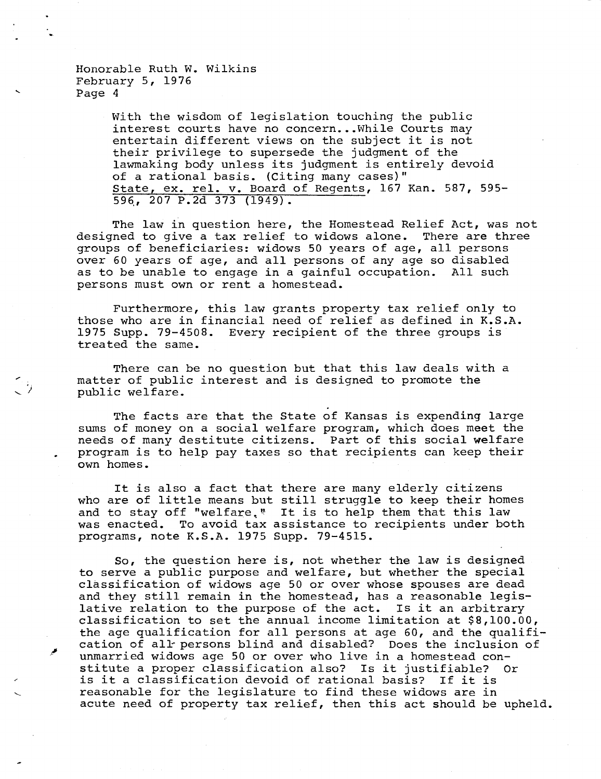> With the wisdom of legislation touching the public interest courts have no concern...While Courts may entertain different views on the subject it is not their privilege to supersede the judgment of the lawmaking body unless its judgment is entirely devoid of a rational basis. (Citing many cases)" State, ex. rel. v. Board of Regents, 167 Kan. 587, 595- 596,, 207 P.2d 373 (1949).

The law in question here, the Homestead Relief Act, was not designed to give a tax relief to widows alone. There are three groups of beneficiaries: widows 50 years of age, all persons over 60 years of age, and all persons of any age so disabled as to be unable to engage in a gainful occupation. All such persons must own or rent a homestead.

Furthermore, this law grants property tax relief only to those who are in financial need of relief as defined in K.S.A. 1975 Supp. 79-4508. Every recipient of the three groups is treated the same.

There can be no question but that this law deals with a matter of public interest and is designed to promote the public welfare.

The facts are that the State of Kansas is expending large sums of money on a social welfare program, which does meet the needs of many destitute citizens. Part of this social welfare program is to help pay taxes so that recipients can keep their own homes.

It is also a fact that there are many elderly citizens who are of little means but still struggle to keep their homes and to stay off "welfare." It is to help them that this law was enacted. To avoid tax assistance to recipients under both programs, note K.S.A. 1975 Supp. 79-4515.

So, the question here is, not whether the law is designed to serve a public purpose and welfare, but whether the special classification of widows age 50 or over whose spouses are dead and they still remain in the homestead, has a reasonable legislative relation to the purpose of the act. Is it an arbitrary classification to set the annual income limitation at \$8,100.00, the age qualification for all persons at age 60, and the qualification of all persons blind and disabled? Does the inclusion of unmarried widows age 50 or over who live in a homestead constitute a proper classification also? Is it justifiable? Or is it a classification devoid of rational basis? If it is reasonable for the legislature to find these widows are in acute need of property tax relief, then this act should be upheld.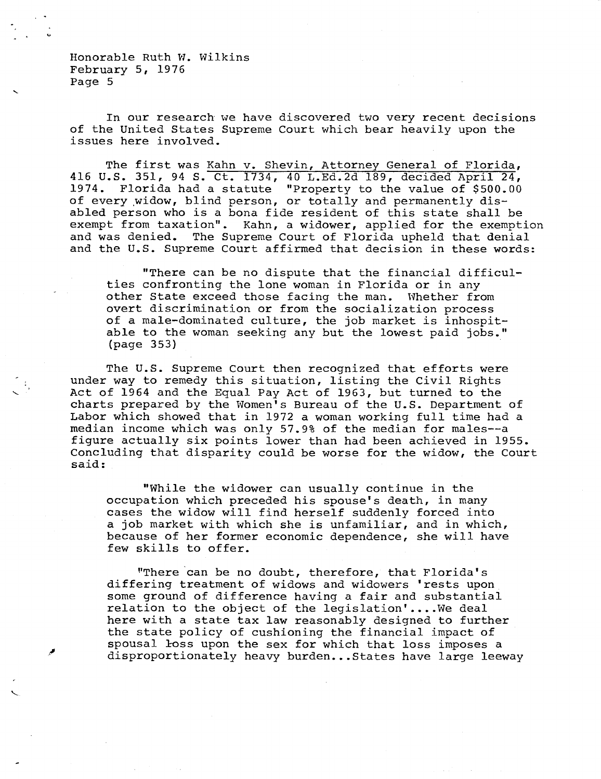In our research we have discovered two very recent decisions of the United States Supreme Court which bear heavily upon the issues here involved.

The first was Kahn v. Shevin, Attorney General of Florida, 416 U.S. 351, 94 S. Ct. 1734, 40 L.Ed.2d 189, decided April 24, 1974. Florida had a statute "Property to the value of \$500.00 of every widow, blind person, or totally and permanently disabled person who is a bona fide resident of this state shall be exempt from taxation". Kahn, a widower, applied for the exemption and was denied. The Supreme Court of Florida upheld that denial and the U.S. Supreme Court affirmed that decision in these words:

"There can be no dispute that the financial difficulties confronting the lone woman in Florida or in any other State exceed those facing the man. Whether from overt discrimination or from the socialization process of a male-dominated culture, the job market is inhospitable to the woman seeking any but the lowest paid jobs." (page 353)

The U.S. Supreme Court then recognized that efforts were under way to remedy this situation, listing the Civil Rights Act of 1964 and the Equal Pay Act of 1963, but turned to the charts prepared by the Women's Bureau of the U.S. Department of Labor which showed that in 1972 a woman working full time had a median income which was only 57.9% of the median for males--a figure actually six points lower than had been achieved in 1955. Concluding that disparity could be worse for the widow, the Court said:

"While the widower can usually continue in the occupation which preceded his spouse's death, in many cases the widow will find herself suddenly forced into a job market with which she is unfamiliar, and in which, because of her former economic dependence, she will have few skills to offer.

"There can be no doubt, therefore, that Florida's differing treatment of widows and widowers 'rests upon some ground of difference having a fair and substantial relation to the object of the legislation'....We deal here with a state tax law reasonably designed to further the state policy of cushioning the financial impact of spousal loss upon the sex for which that loss imposes a disproportionately heavy burden...States have large leeway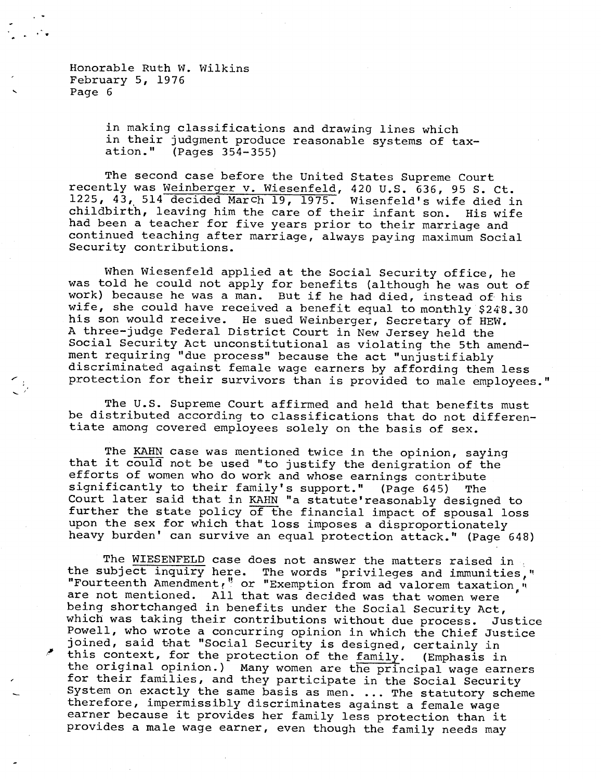> in making classifications and drawing lines which in their judgment produce reasonable systems of taxation." (Pages 354-355)

The second case before the United States Supreme Court recently was Weinberger v. Wiesenfeld, 420 U.S. 636, 95 S. Ct. 1225, 43, 514 decided March 19, 1975. Wisenfeld's wife died in childbirth, leaving him the care of their infant son. His wife had been a teacher for five years prior to their marriage and continued teaching after marriage, always paying maximum Social Security contributions.

When Wiesenfeld applied at the Social Security office, he was told he could not apply for benefits (although he was out of work) because he was a man. But if he had died, instead of his wife, she could have received a benefit equal to monthly \$248.30 his son would receive. He sued Weinberger, Secretary of HEW. A three-judge Federal District Court in New Jersey held the Social Security Act unconstitutional as violating the 5th amendment requiring "due process" because the act "unjustifiably discriminated against female wage earners by affording them less protection for their survivors than is provided to male employees."

The U.S. Supreme Court affirmed and held that benefits must be distributed according to classifications that do not differentiate among covered employees solely on the basis of sex.

The KAHN case was mentioned twice in the opinion, saying that it could not be used "to justify the denigration of the efforts of women who do work and whose earnings contribute significantly to their family's support." (Page 645) The Court later said that in KAHN "a statute'reasonably designed to further the state policy of the financial impact of spousal loss upon the sex for which that loss imposes a disproportionately heavy burden' can survive an equal protection attack." (Page 648)

The WIESENFELD case does not answer the matters raised in the subject inquiry here. The words "privileges and immunities," "Fourteenth Amendment," or "Exemption from ad valorem taxation," are not mentioned. All that was decided was that women were being shortchanged in benefits under the Social Security Act, which was taking their contributions without due process. Justice Powell, who wrote a concurring opinion in which the Chief Justice joined, said that "Social Security is designed, certainly in this context, for the protection of the family. (Emphasis in the original opinion.) Many women are the principal wage earners for their families, and they participate in the Social Security System on exactly the same basis as men. ... The statutory scheme therefore, impermissibly discriminates against a female wage earner because it provides her family less protection than it provides a male wage earner, even though the family needs may